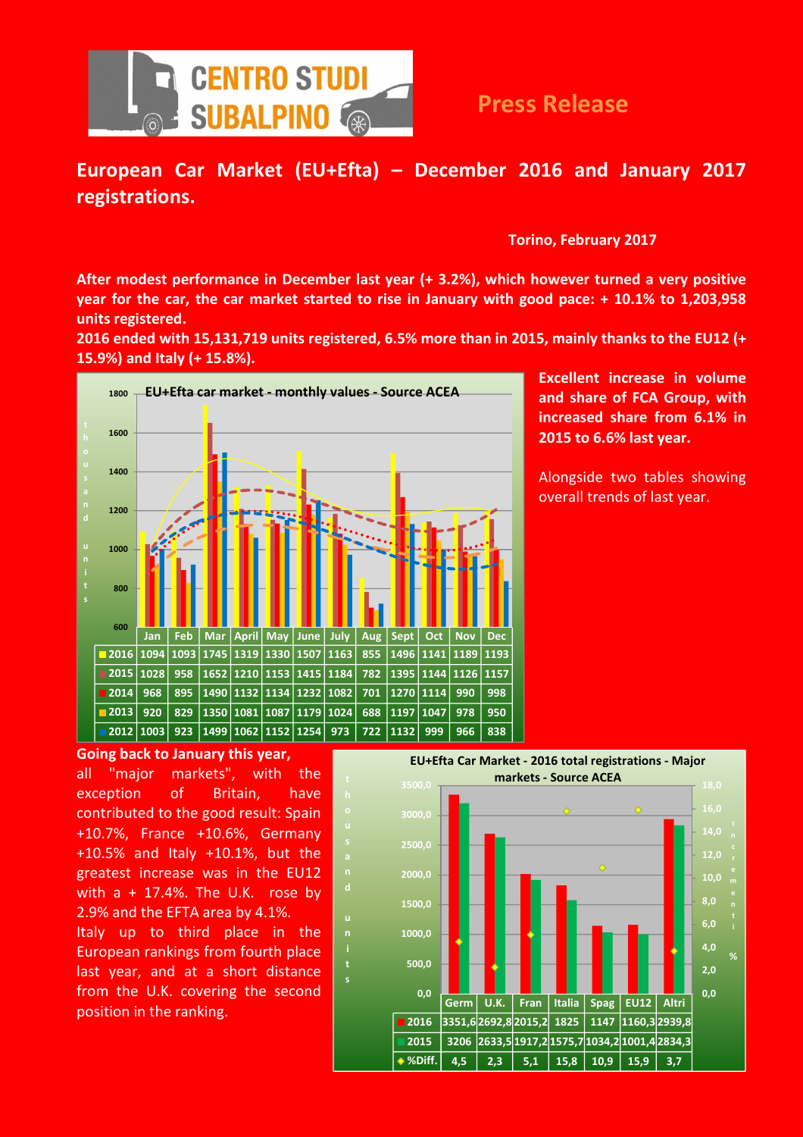

## European Car Market (EU+Efta) – December 2016 and January 2017 registrations.

Torino, February 2017

After modest performance in December last year (+ 3.2%), which however turned a very positive year for the car, the car market started to rise in January with good pace: + 10.1% to 1,203,958 units registered.

2016 ended with 15,131,719 units registered, 6.5% more than in 2015, mainly thanks to the EU12 (+ 15.9%) and Italy (+ 15.8%).



i

Excellent increase in volume and share of FCA Group, with increased share from 6.1% in 2015 to 6.6% last year.

Alongside two tables showing overall trends of last year.

Going back to January this year,

all "major markets", with the exception of Britain, have contributed to the good result: Spain +10.7%, France +10.6%, Germany +10.5% and Italy +10.1%, but the greatest increase was in the EU12 with  $a + 17.4\%$ . The U.K. rose by 2.9% and the EFTA area by 4.1%. Italy up to third place in the European rankings from fourth place last year, and at a short distance from the U.K. covering the second